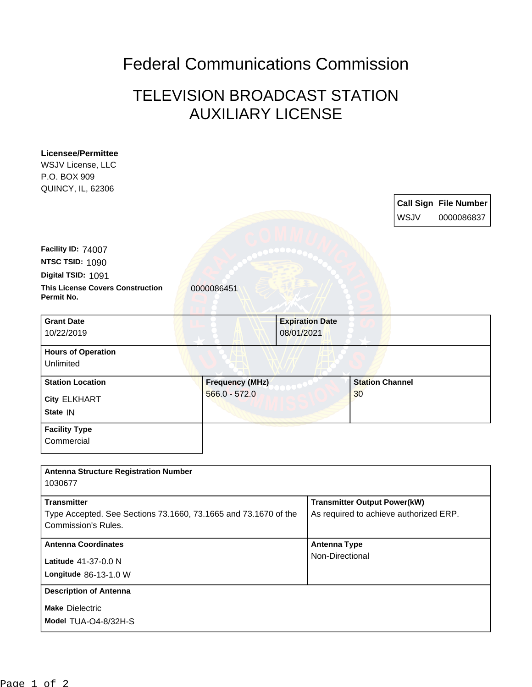## Federal Communications Commission

## TELEVISION BROADCAST STATION AUXILIARY LICENSE

| <b>Licensee/Permittee</b>                                       |                        |            |                                        |                                     |      |                              |
|-----------------------------------------------------------------|------------------------|------------|----------------------------------------|-------------------------------------|------|------------------------------|
| WSJV License, LLC                                               |                        |            |                                        |                                     |      |                              |
| P.O. BOX 909                                                    |                        |            |                                        |                                     |      |                              |
| QUINCY, IL, 62306                                               |                        |            |                                        |                                     |      |                              |
|                                                                 |                        |            |                                        |                                     |      | <b>Call Sign File Number</b> |
|                                                                 |                        |            |                                        |                                     | WSJV | 0000086837                   |
|                                                                 |                        |            |                                        |                                     |      |                              |
|                                                                 |                        |            |                                        |                                     |      |                              |
| Facility ID: 74007                                              |                        |            |                                        |                                     |      |                              |
| NTSC TSID: 1090                                                 |                        |            |                                        |                                     |      |                              |
| Digital TSID: 1091                                              |                        |            |                                        |                                     |      |                              |
| <b>This License Covers Construction</b><br>Permit No.           | 0000086451             |            |                                        |                                     |      |                              |
|                                                                 |                        |            |                                        |                                     |      |                              |
| <b>Grant Date</b>                                               |                        |            | <b>Expiration Date</b>                 |                                     |      |                              |
| 10/22/2019                                                      |                        | 08/01/2021 |                                        |                                     |      |                              |
|                                                                 |                        |            |                                        |                                     |      |                              |
| <b>Hours of Operation</b><br>Unlimited                          |                        |            |                                        |                                     |      |                              |
|                                                                 |                        |            |                                        |                                     |      |                              |
| <b>Station Location</b>                                         | <b>Frequency (MHz)</b> |            |                                        | <b>Station Channel</b>              |      |                              |
| <b>City ELKHART</b>                                             | $566.0 - 572.0$        |            |                                        | 30                                  |      |                              |
| State IN                                                        |                        |            |                                        |                                     |      |                              |
| <b>Facility Type</b>                                            |                        |            |                                        |                                     |      |                              |
| Commercial                                                      |                        |            |                                        |                                     |      |                              |
|                                                                 |                        |            |                                        |                                     |      |                              |
|                                                                 |                        |            |                                        |                                     |      |                              |
| <b>Antenna Structure Registration Number</b>                    |                        |            |                                        |                                     |      |                              |
| 1030677                                                         |                        |            |                                        |                                     |      |                              |
| <b>Transmitter</b>                                              |                        |            |                                        | <b>Transmitter Output Power(kW)</b> |      |                              |
| Type Accepted. See Sections 73.1660, 73.1665 and 73.1670 of the |                        |            | As required to achieve authorized ERP. |                                     |      |                              |
| <b>Commission's Rules.</b>                                      |                        |            |                                        |                                     |      |                              |
| <b>Antenna Coordinates</b>                                      |                        |            | <b>Antenna Type</b>                    |                                     |      |                              |
|                                                                 |                        |            | Non-Directional                        |                                     |      |                              |
| Latitude 41-37-0.0 N                                            |                        |            |                                        |                                     |      |                              |
| Longitude 86-13-1.0 W                                           |                        |            |                                        |                                     |      |                              |
| <b>Description of Antenna</b>                                   |                        |            |                                        |                                     |      |                              |
| <b>Make Dielectric</b>                                          |                        |            |                                        |                                     |      |                              |
| Model TUA-O4-8/32H-S                                            |                        |            |                                        |                                     |      |                              |
|                                                                 |                        |            |                                        |                                     |      |                              |